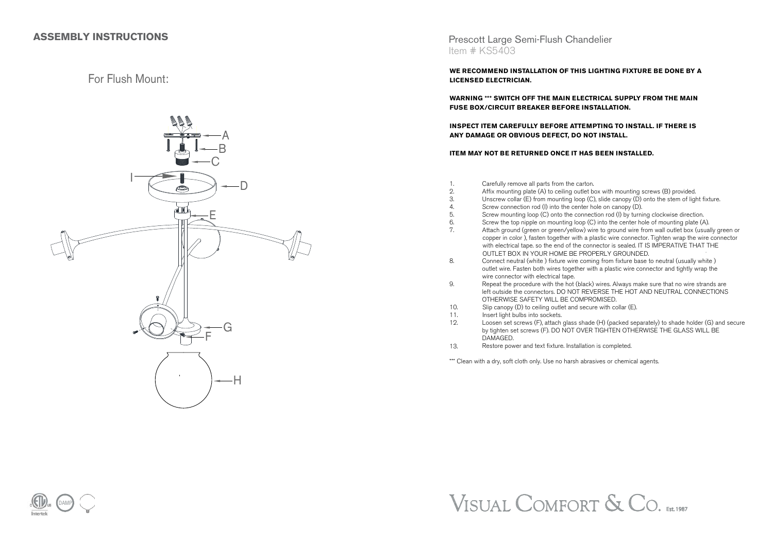## **ASSEMBLY INSTRUCTIONS**

# For Flush Mount:



### Prescott Large Semi-Flush Chandelier Item # KS5403

**WE RECOMMEND INSTALLATION OF THIS LIGHTING FIXTURE BE DONE BY ALICENSED ELECTRICIAN.**

**WARNING \*\*\* SWITCH OFF THE MAIN ELECTRICAL SUPPLY FROM THE MAINFUSE BOX/CIRCUIT BREAKER BEFORE INSTALLATION.**

**INSPECT ITEM CAREFULLY BEFORE ATTEMPTING TO INSTALL. IF THERE ISANY DAMAGE OR OBVIOUS DEFECT, DO NOT INSTALL.**

#### **ITEM MAY NOT BE RETURNED ONCE IT HAS BEEN INSTALLED.**

Carefully remove all parts from the carton.

1.

- 2.Affix mounting plate (A) to ceiling outlet box with mounting screws (B) provided.
- —<br>З. Unscrew collar (E) from mounting loop (C), slide canopy (D) onto the stem of light fixture.
- 4.Screw connection rod (I) into the center hole on canopy (D).
- 5. Screw mounting loop (C) onto the connection rod (I) by turning clockwise direction.
- 6. Screw the top nipple on mounting loop (C) into the center hole of mounting plate (A).
- 7. Attach ground (green or green/yellow) wire to ground wire from wall outlet box (usually green or copper in color ), fasten together with a plastic wire connector. Tighten wrap the wire connectorwith electrical tape. so the end of the connector is sealed. IT IS IMPERATIVE THAT THE OUTLET BOX IN YOUR HOME BE PROPERLY GROUNDED.
- 8. Connect neutral (white ) fixture wire coming from fixture base to neutral (usually white ) outlet wire. Fasten both wires together with a plastic wire connector and tightly wrap the wire connector with electrical tape.
- 9. Repeat the procedure with the hot (black) wires. Always make sure that no wire strands are left outside the connectors. DO NOT REVERSE THE HOT AND NEUTRAL CONNECTIONSOTHERWISE SAFETY WILL BE COMPROMISED.
- $10<sup>-1</sup>$ Slip canopy (D) to ceiling outlet and secure with collar (E).
- 11.Insert light bulbs into sockets.
- 12. Loosen set screws (F), attach glass shade (H) (packed separately) to shade holder (G) and secureby tighten set screws (F). DO NOT OVER TIGHTEN OTHERWISE THE GLASS WILL BE DAMAGED.
- 13.Restore power and text fixture. Installation is completed.

\*\*\* Clean with a dry, soft cloth only. Use no harsh abrasives or chemical agents.